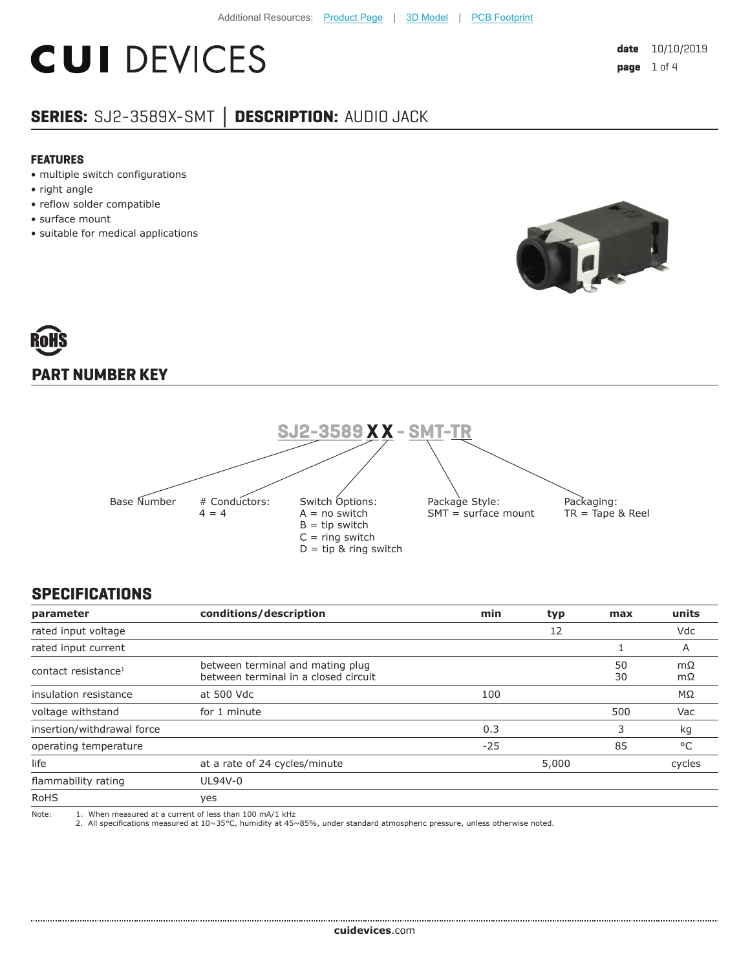## **CUI DEVICES**

#### **SERIES:** SJ2-3589X-SMT **│ DESCRIPTION:** AUDIO JACK

#### **FEATURES**

- multiple switch configurations
- right angle
- reflow solder compatible
- surface mount
- suitable for medical applications



# **PART NUMBER KEY**



#### **SPECIFICATIONS**

| parameter                       | conditions/description                                                                                                                                                                 | min   | typ | max      | units    |
|---------------------------------|----------------------------------------------------------------------------------------------------------------------------------------------------------------------------------------|-------|-----|----------|----------|
| rated input voltage             |                                                                                                                                                                                        |       | 12  |          | Vdc      |
| rated input current             |                                                                                                                                                                                        |       |     |          | A        |
| contact resistance <sup>1</sup> | between terminal and mating plug<br>between terminal in a closed circuit                                                                                                               |       |     | 50<br>30 | mΩ<br>mΩ |
| insulation resistance           | at 500 Vdc                                                                                                                                                                             | 100   |     |          | MΩ       |
| voltage withstand               | for 1 minute                                                                                                                                                                           |       |     | 500      | Vac      |
| insertion/withdrawal force      |                                                                                                                                                                                        | 0.3   |     | 3        | kg       |
| operating temperature           |                                                                                                                                                                                        | $-25$ |     | 85       | °C       |
| life                            | at a rate of 24 cycles/minute                                                                                                                                                          | 5,000 |     | cycles   |          |
| flammability rating             | UL94V-0                                                                                                                                                                                |       |     |          |          |
| <b>RoHS</b>                     | yes                                                                                                                                                                                    |       |     |          |          |
| Note:                           | 1. When measured at a current of less than 100 mA/1 kHz<br>2. All specifications measured at 10~35°C, humidity at 45~85%, under standard atmospheric pressure, unless otherwise noted. |       |     |          |          |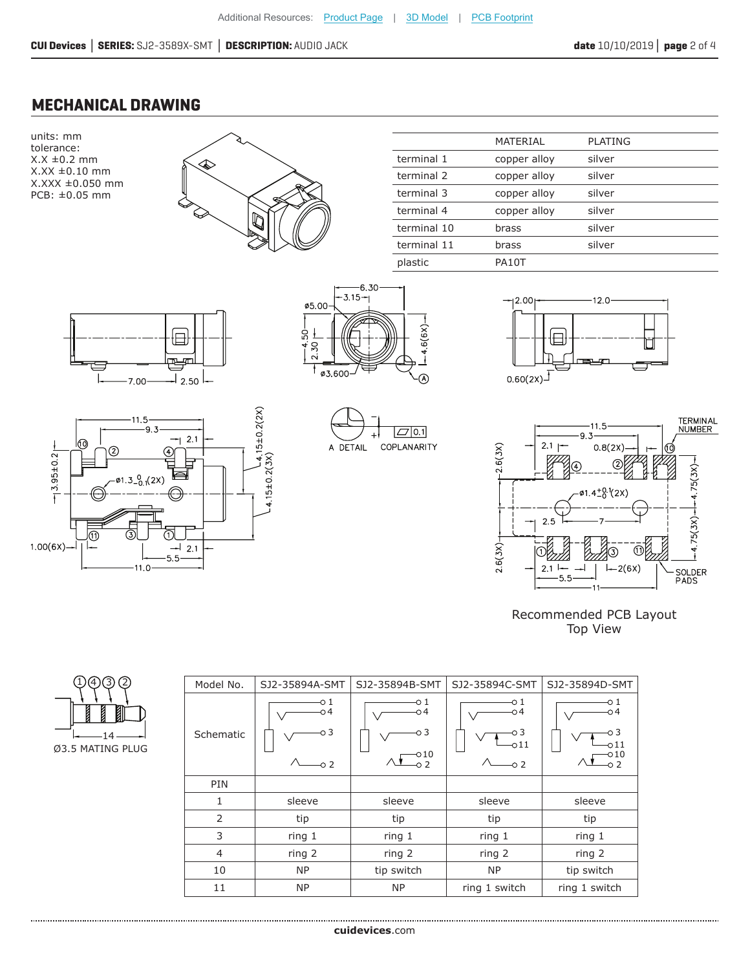#### **MECHANICAL DRAWING**

units: mm tolerance:  $X.X \pm 0.2$  mm X.XX ±0.10 mm X.XXX ±0.050 mm PCB: ±0.05 mm



|             | MATERIAL     | <b>PLATING</b> |  |
|-------------|--------------|----------------|--|
| terminal 1  | copper alloy | silver         |  |
| terminal 2  | copper alloy | silver         |  |
| terminal 3  | copper alloy | silver         |  |
| terminal 4  | copper alloy | silver         |  |
| terminal 10 | brass        | silver         |  |
| terminal 11 | brass        | silver         |  |
| plastic     | PA10T        |                |  |
|             |              |                |  |













Recommended PCB Layout Top View

| Model No.      | SJ2-35894A-SMT              | SJ2-35894B-SMT                          | SJ2-35894C-SMT                     | SJ2-35894D-SMT                                 |
|----------------|-----------------------------|-----------------------------------------|------------------------------------|------------------------------------------------|
| Schematic      | о1<br>04<br>о 3<br>$\sim$ 2 | -01<br>о4<br>O 3<br>$-010$<br>$\circ$ 2 | -01<br>04<br>о3<br>011<br>$\sim$ 2 | -0 1<br>о4<br>-03<br>011<br>$-010$<br>$\sim$ 2 |
| PIN            |                             |                                         |                                    |                                                |
| 1              | sleeve                      | sleeve                                  | sleeve                             | sleeve                                         |
| 2              | tip                         | tip                                     | tip                                | tip                                            |
| 3              | ring 1                      | ring 1                                  | ring 1                             | ring 1                                         |
| $\overline{4}$ | ring 2                      | ring 2                                  | ring 2                             | ring 2                                         |
| 10             | <b>NP</b>                   | tip switch                              | <b>NP</b>                          | tip switch                                     |
| 11             | <b>NP</b>                   | <b>NP</b>                               | ring 1 switch                      | ring 1 switch                                  |

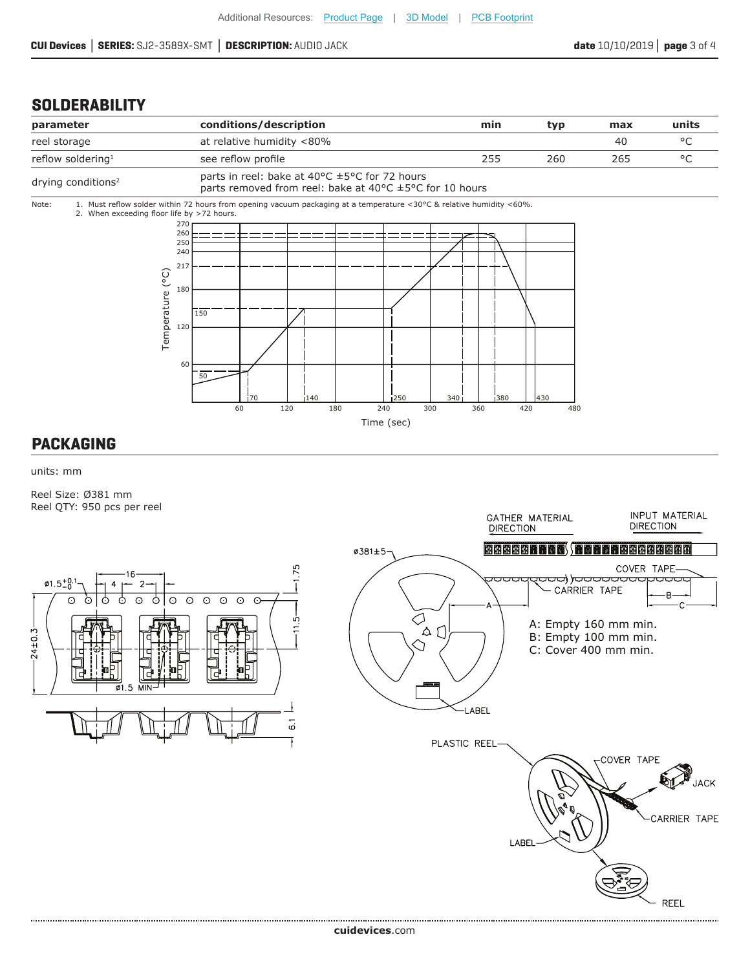**REEL** 

. . . . . . . . . . . . . . . . . . . .

#### **SOLDERABILITY**



#### **PACKAGING**

units: mm

Reel Size: Ø381 mm Reel QTY: 950 pcs per reel